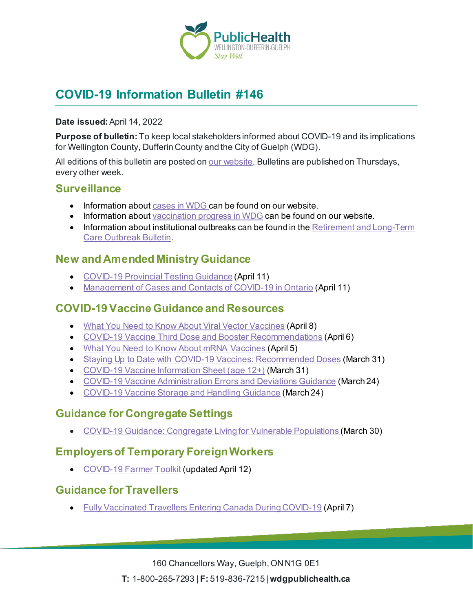

# **COVID-19 Information Bulletin #146**

#### **Date issued:** April 14, 2022

**Purpose of bulletin:** To keep local stakeholders informed about COVID-19 and its implications for Wellington County, Dufferin County and the City of Guelph (WDG).

All editions of this bulletin are posted o[n our website](https://www.wdgpublichealth.ca/your-health/covid-19-information-workplaces-and-living-spaces/community-stakeholder-bulletins). Bulletins are published on Thursdays, every other week.

### **Surveillance**

- Information about [cases in WDG](https://wdgpublichealth.ca/your-health/covid-19-information-public/status-cases-wdg) can be found on our website.
- Information abou[t vaccination progress](https://www.wdgpublichealth.ca/your-health/covid-19-information-public/covid-19-vaccine-information-public) in WDG can be found on our website.
- Information about institutional outbreaks can be found in the Retirement and Long-Term [Care Outbreak Bulletin.](https://wdgpublichealth.ca/node/1542)

### **New and Amended Ministry Guidance**

- [COVID-19 Provincial Testing Guidance](https://www.health.gov.on.ca/en/pro/programs/publichealth/coronavirus/docs/COVID-19_provincial_testing_guidance.pdf) (April 11)
- [Management of Cases and Contacts of COVID-19 in Ontario](https://www.health.gov.on.ca/en/pro/programs/publichealth/coronavirus/docs/contact_mngmt/management_cases_contacts.pdf) (April 11)

### **COVID-19 Vaccine Guidance and Resources**

- [What You Need to Know About Viral Vector Vaccines](https://www.publichealthontario.ca/-/media/Documents/nCoV/Vaccines/2021/04/covid-19-fact-sheet-viral-vector-vaccines.pdf?la=en&sc_lang=en&hash=CA7FB478DEDE71962EF5D8F6300A8AAF) (April 8)
- [COVID-19 Vaccine Third Dose and Booster Recommendations](https://www.health.gov.on.ca/en/pro/programs/publichealth/coronavirus/docs/vaccine/COVID-19_vaccine_third_dose_recommendations.pdf) (April 6)
- [What You Need to Know About mRNA Vaccines](https://www.publichealthontario.ca/-/media/Documents/nCoV/Factsheet/2021/01/vac/factsheet-covid-19-vaccines.pdf?la=en&sc_lang=en&hash=4589F4B2FB402FDD011372160FAA6983) (April 5)
- [Staying Up to Date with COVID-19 Vaccines: Recommended Doses](https://www.health.gov.on.ca/en/pro/programs/publichealth/coronavirus/docs/vaccine/COVID_19_vaccine_up_to_date.pdf) (March 31)
- [COVID-19 Vaccine Information Sheet \(age 12+\)](https://www.health.gov.on.ca/en/pro/programs/publichealth/coronavirus/docs/vaccine/COVID-19_vaccine_info_sheet.pdf) (March 31)
- [COVID-19 Vaccine Administration Errors and Deviations Guidance](https://www.health.gov.on.ca/en/pro/programs/publichealth/coronavirus/docs/vaccine/COVID-19_guidance_for_administration_errors_deviations.pdf) (March 24)
- [COVID-19 Vaccine Storage and Handling Guidance](https://www.health.gov.on.ca/en/pro/programs/publichealth/coronavirus/docs/vaccine/vaccine_storage_handling_pfizer_moderna.pdf) (March 24)

## **Guidance for Congregate Settings**

• [COVID-19 Guidance: Congregate Living for Vulnerable Populations \(](https://www.health.gov.on.ca/en/pro/programs/publichealth/coronavirus/docs/2019_congregate_living_guidance.pdf)March 30)

## **Employers of Temporary Foreign Workers**

• [COVID-19 Farmer](https://www.ontario.ca/page/covid-19-farmer-toolkit) Toolkit (updated April 12)

## **Guidance for Travellers**

• [Fully Vaccinated Travellers Entering Canada During COVID-19](https://www.canada.ca/en/public-health/services/publications/diseases-conditions/fully-vaccinated-travellers-entering-canada-covid-19.html) (April 7)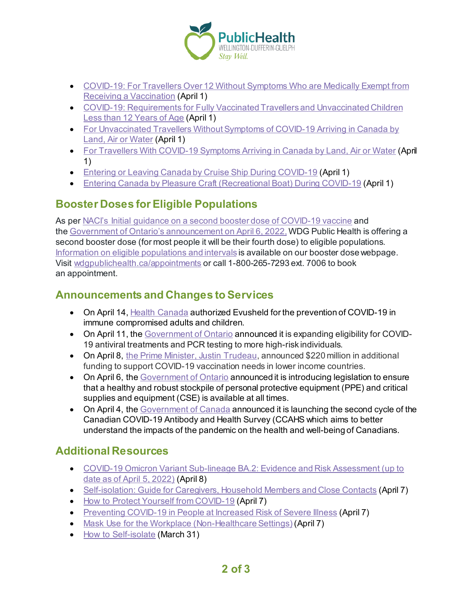

- [COVID-19: For Travellers Over 12 Without Symptoms Who are Medically Exempt from](https://www.canada.ca/en/public-health/services/diseases/2019-novel-coronavirus-infection/awareness-resources/travellers-over-12-without-symptoms-medically-exempt-vaccination.html)  [Receiving a Vaccination](https://www.canada.ca/en/public-health/services/diseases/2019-novel-coronavirus-infection/awareness-resources/travellers-over-12-without-symptoms-medically-exempt-vaccination.html) (April 1)
- [COVID-19: Requirements for Fully Vaccinated Travellers and Unvaccinated Children](https://www.canada.ca/en/public-health/services/publications/diseases-conditions/fully-vaccinated-travellers-without-covid-19-symptoms-returning-canada.html)  [Less than 12 Years of Age](https://www.canada.ca/en/public-health/services/publications/diseases-conditions/fully-vaccinated-travellers-without-covid-19-symptoms-returning-canada.html) (April 1)
- [For Unvaccinated Travellers Without Symptoms of COVID-19 Arriving in Canada by](https://www.canada.ca/en/public-health/services/publications/diseases-conditions/2019-novel-coronavirus-information-sheet.html)  [Land, Air or Water](https://www.canada.ca/en/public-health/services/publications/diseases-conditions/2019-novel-coronavirus-information-sheet.html) (April 1)
- [For Travellers With COVID-19 Symptoms Arriving in Canada by Land, Air or Water](https://www.canada.ca/en/public-health/services/publications/diseases-conditions/travellers-with-symptoms-return-canada.html) (April 1)
- [Entering or Leaving Canada by Cruise Ship During COVID-19](https://www.canada.ca/en/public-health/services/publications/diseases-conditions/entering-leaving-canada-cruise-ship-covid-19.html) (April 1)
- [Entering Canada by Pleasure Craft \(Recreational Boat\) During COVID-19](https://www.canada.ca/en/public-health/services/publications/diseases-conditions/entering-canada-pleasure-craft-covid-19.html) (April 1)

## **Booster Doses for Eligible Populations**

As per [NACI's Initial guidance on a second booster dose of](https://www.canada.ca/content/dam/phac-aspc/documents/services/immunization/national-advisory-committee-on-immunization-naci/recommendations-use-covid-19-vaccines/statement-guidance-booster-doses/statement-guidance-booster-doses.pdf) COVID-19 vaccine and the [Government of Ontario's announcement on April 6, 2022](https://news.ontario.ca/en/release/1001961/ontario-expanding-fourth-dose-eligibility)[,](https://www.health.gov.on.ca/en/pro/programs/publichealth/coronavirus/docs/vaccine/COVID-19_vaccine_third_dose_recommendations.pdf) WDG Public Health is offering a second booster dose (for most people it will be their fourth dose) to eligible populations. [Information on eligible populations](https://wdgpublichealth.ca/your-health/covid-19-information-public/covid-19-vaccine-information/booster-doses) and intervals is available on our booster dose webpage. Visit [wdgpublichealth.ca/appointments](https://wdgpublichealth.inputhealth.com/ebooking#new) or call 1-800-265-7293 ext. 7006 to book an appointment.

## **Announcements and Changes to Services**

- On April 14, [Health Canada](https://www.canada.ca/en/health-canada/news/2022/04/health-canada-authorizes-evusheld-for-the-prevention-of-covid-19-in-immune-compromised-adults-and-children.html) authorized Evusheld for the prevention of COVID-19 in immune compromised adults and children.
- On April 11, the [Government of Ontario](https://news.ontario.ca/en/release/1002011/ontario-expanding-access-to-covid-19-antivirals) announced it is expanding eligibility for COVID-19 antiviral treatments and PCR testing to more high-risk individuals.
- On April 8, [the Prime Minister, Justin Trudeau,](https://pm.gc.ca/en/news/news-releases/2022/04/08/prime-minister-announces-additional-funding-covid-19-vaccination) announced \$220 million in additional funding to support COVID-19 vaccination needs in lower income countries.
- On April 6, th[e Government of Ontario](https://news.ontario.ca/en/release/1001966/ontario-mandating-robust-ppe-stockpile-to-support-plan-to-stay-open) announced it is introducing legislation to ensure that a healthy and robust stockpile of personal protective equipment (PPE) and critical supplies and equipment (CSE) is available at all times.
- On April 4, th[e Government of Canada](https://www.canada.ca/en/public-health/news/2022/04/government-of-canada-launches-second-cycle-of-national-survey-to-assess-the-health-impacts-of-the-covid-19-pandemic.html) announced it is launching the second cycle of the Canadian COVID-19 Antibody and Health Survey (CCAHS which aims to better understand the impacts of the pandemic on the health and well-being of Canadians.

## **Additional Resources**

- [COVID-19 Omicron Variant Sub-lineage BA.2: Evidence and Risk Assessment \(up to](https://www.publichealthontario.ca/-/media/Documents/nCoV/voc/covid-19-omicron-risk-assessment.pdf?sc_lang=en)  [date as of April 5, 2022\)](https://www.publichealthontario.ca/-/media/Documents/nCoV/voc/covid-19-omicron-risk-assessment.pdf?sc_lang=en) (April 8)
- [Self-isolation: Guide for Caregivers, Household Members and Close Contacts](https://www.publichealthontario.ca/-/media/Documents/nCoV/factsheet-covid-19-guide-isolation-caregivers.pdf?la=en&sc_lang=en&hash=221D89706DEBA24CB42303C32512E679) (April 7)
- [How to Protect Yourself from COVID-19](https://www.publichealthontario.ca/-/media/Documents/nCoV/Factsheet/2021/06/lp/fact-sheet-covid-19-preventive-layers.pdf?la=en&sc_lang=en&hash=35EAD841BDE13ACF4EC3EB1B9155542B) (April 7)
- [Preventing COVID-19 in People at Increased Risk of Severe Illness](https://www.publichealthontario.ca/-/media/Documents/nCoV/Factsheet/2020/12/Reduce-Risk/factsheet-covid-19-reduce-your-risk.pdf?la=en&sc_lang=en&hash=E7770E0001A112A40BDA70DF548D985E) (April 7)
- [Mask Use for the Workplace \(Non-Healthcare Settings\)](https://www.publichealthontario.ca/-/media/Documents/nCoV/Factsheet/2020/05/factsheet-covid-19-masks-not-healthcare.pdf?la=en&sc_lang=en&hash=5EEC89AE3E2B3938E13626AC198924E3) (April 7)
- [How to Self-isolate](https://www.publichealthontario.ca/-/media/Documents/nCoV/factsheet-covid-19-how-to-self-isolate.pdf?la=en&sc_lang=en&hash=6AC2FC13CD319D468E40692918993AFD) (March 31)